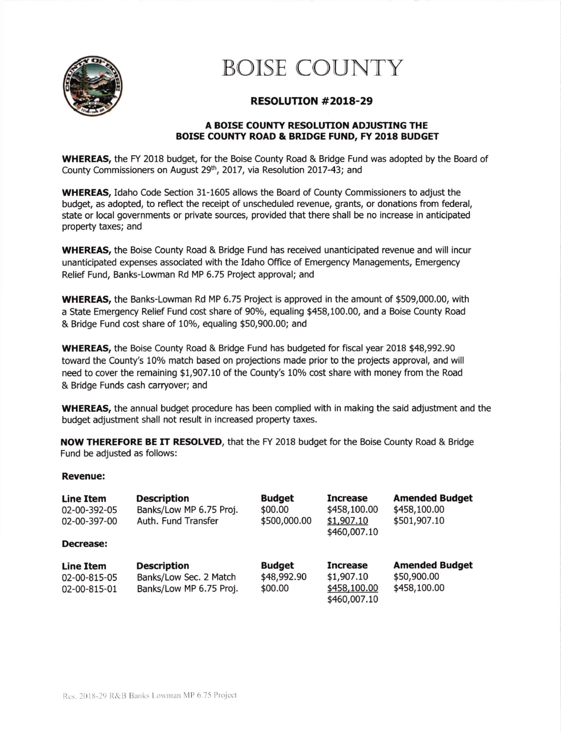

## BOISE COUNTY

## RESOLUTION #2OL8-29

## A BOISE COUNTY RESOLUTION ADJUSTING THE BOISE COUNTY ROAD & BRIDGE FUND, FY 2018 BUDGET

WHEREAS, the FY 2018 budget, for the Boise County Road & Bridge Fund was adopted by the Board of County Commissioners on August 29<sup>th</sup>, 2017, via Resolution 2017-43; and

WHEREAS, Idaho Code Section 31-1605 allows the Board of County Commissioners to adjust the budget, as adopted, to reflect the receipt of unscheduled revenue, grants, or donations from federal, state or local governments or private sources, provided that there shall be no increase in anticipated property taxes; and

**WHEREAS,** the Boise County Road & Bridge Fund has received unanticipated revenue and will incur unanticipated expenses associated with the Idaho Office of Emergency Managements, Emergency Relief Fund, Banks-Lowman Rd MP 5.75 Project approval; and

WHEREAS, the Banks-Lowman Rd MP 6.75 Project is approved in the amount of \$509,000.00, with a State Emergency Relief Fund cost share of 90%, equaling \$458,100.00, and a Boise County Road & Bridge Fund cost share of 10%, equaling \$50,900.00; and

WHEREAS, the Boise Counfy Road & Bridge Fund has budgeted for fiscal year 2018 \$48,992.90 toward the County's 10% match based on projections made prior to the projects approval, and will need to cover the remaining \$1,907.10 of the County's 10% cost share with money from the Road & Bridge Funds cash carryover; and

WHEREAS, the annual budget procedure has been complied with in making the said adjustment and the budget adjustment shall not result in increased property taxes.

NOW THEREFORE BE IT RESOLVED, that the FY 2018 budget for the Boise County Road & Bridge Fund be adjusted as follows:

## Revenue:

| Line Item<br>02-00-392-05<br>02-00-397-00<br>Decrease: | <b>Description</b><br>Banks/Low MP 6.75 Proj.<br>Auth. Fund Transfer    | <b>Budget</b><br>\$00.00<br>\$500,000.00 | <b>Increase</b><br>\$458,100.00<br>\$1,907.10<br>\$460,007.10 | <b>Amended Budget</b><br>\$458,100.00<br>\$501,907.10 |
|--------------------------------------------------------|-------------------------------------------------------------------------|------------------------------------------|---------------------------------------------------------------|-------------------------------------------------------|
| <b>Line Item</b><br>02-00-815-05<br>02-00-815-01       | <b>Description</b><br>Banks/Low Sec. 2 Match<br>Banks/Low MP 6.75 Proj. | <b>Budget</b><br>\$48,992.90<br>\$00.00  | <b>Increase</b><br>\$1,907.10<br>\$458,100.00<br>\$460,007.10 | <b>Amended Budget</b><br>\$50,900.00<br>\$458,100.00  |